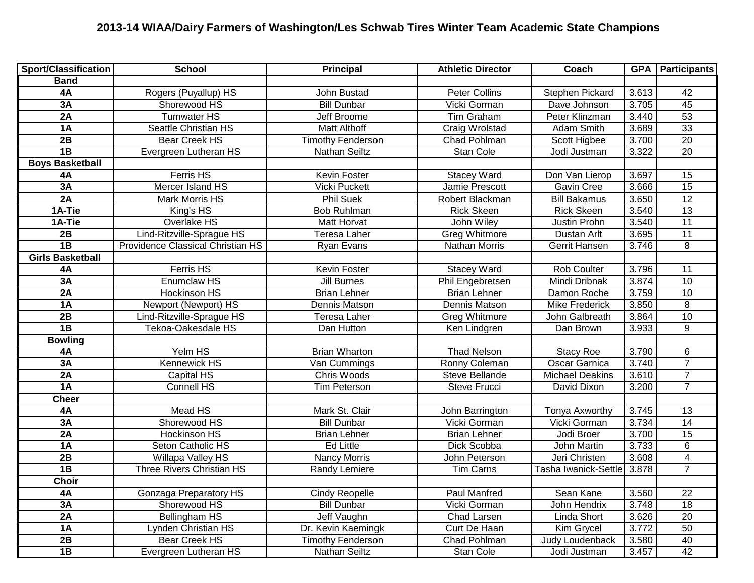## **2013-14 WIAA/Dairy Farmers of Washington/Les Schwab Tires Winter Team Academic State Champions**

| <b>Sport/Classification</b> | <b>School</b>                     | <b>Principal</b>         | <b>Athletic Director</b> | Coach                      |       | <b>GPA</b>   Participants |
|-----------------------------|-----------------------------------|--------------------------|--------------------------|----------------------------|-------|---------------------------|
| <b>Band</b>                 |                                   |                          |                          |                            |       |                           |
| 4A                          | Rogers (Puyallup) HS              | John Bustad              | <b>Peter Collins</b>     | <b>Stephen Pickard</b>     | 3.613 | 42                        |
| 3A                          | Shorewood HS                      | <b>Bill Dunbar</b>       | Vicki Gorman             | Dave Johnson               | 3.705 | 45                        |
| 2A                          | <b>Tumwater HS</b>                | <b>Jeff Broome</b>       | <b>Tim Graham</b>        | Peter Klinzman             | 3.440 | $\overline{53}$           |
| 1A                          | <b>Seattle Christian HS</b>       | <b>Matt Althoff</b>      | Craig Wrolstad           | Adam Smith                 | 3.689 | $\overline{33}$           |
| 2B                          | <b>Bear Creek HS</b>              | <b>Timothy Fenderson</b> | Chad Pohlman             | Scott Higbee               | 3.700 | $\overline{20}$           |
| $\overline{AB}$             | Evergreen Lutheran HS             | Nathan Seiltz            | <b>Stan Cole</b>         | Jodi Justman               | 3.322 | $\overline{20}$           |
| <b>Boys Basketball</b>      |                                   |                          |                          |                            |       |                           |
| 4A                          | <b>Ferris HS</b>                  | Kevin Foster             | <b>Stacey Ward</b>       | Don Van Lierop             | 3.697 | 15                        |
| 3A                          | Mercer Island HS                  | <b>Vicki Puckett</b>     | Jamie Prescott           | Gavin Cree                 | 3.666 | $\overline{15}$           |
| 2A                          | Mark Morris HS                    | <b>Phil Suek</b>         | Robert Blackman          | <b>Bill Bakamus</b>        | 3.650 | 12                        |
| 1A-Tie                      | King's HS                         | <b>Bob Ruhlman</b>       | <b>Rick Skeen</b>        | <b>Rick Skeen</b>          | 3.540 | 13                        |
| 1A-Tie                      | Overlake HS                       | Matt Horvat              | John Wiley               | Justin Prohn               | 3.540 | 11                        |
| 2B                          | Lind-Ritzville-Sprague HS         | Teresa Laher             | <b>Greg Whitmore</b>     | Dustan Arlt                | 3.695 | $\overline{11}$           |
| $\overline{AB}$             | Providence Classical Christian HS | Ryan Evans               | Nathan Morris            | <b>Gerrit Hansen</b>       | 3.746 | $\overline{8}$            |
| <b>Girls Basketball</b>     |                                   |                          |                          |                            |       |                           |
| 4A                          | Ferris HS                         | Kevin Foster             | <b>Stacey Ward</b>       | Rob Coulter                | 3.796 | 11                        |
| 3A                          | Enumclaw HS                       | <b>Jill Burnes</b>       | Phil Engebretsen         | Mindi Dribnak              | 3.874 | 10                        |
| 2A                          | <b>Hockinson HS</b>               | <b>Brian Lehner</b>      | <b>Brian Lehner</b>      | Damon Roche                | 3.759 | 10                        |
| 1A                          | Newport (Newport) HS              | Dennis Matson            | Dennis Matson            | <b>Mike Frederick</b>      | 3.850 | $\overline{8}$            |
| 2B                          | Lind-Ritzville-Sprague HS         | Teresa Laher             | <b>Greg Whitmore</b>     | John Galbreath             | 3.864 | 10                        |
| 1B                          | Tekoa-Oakesdale HS                | Dan Hutton               | Ken Lindgren             | Dan Brown                  | 3.933 | $\overline{9}$            |
| <b>Bowling</b>              |                                   |                          |                          |                            |       |                           |
| 4A                          | Yelm HS                           | <b>Brian Wharton</b>     | <b>Thad Nelson</b>       | <b>Stacy Roe</b>           | 3.790 | 6                         |
| 3A                          | <b>Kennewick HS</b>               | Van Cummings             | Ronny Coleman            | <b>Oscar Garnica</b>       | 3.740 | $\overline{7}$            |
| 2A                          | Capital HS                        | Chris Woods              | Steve Bellande           | <b>Michael Deakins</b>     | 3.610 | $\overline{7}$            |
| 1A                          | Connell HS                        | Tim Peterson             | Steve Frucci             | David Dixon                | 3.200 | $\overline{7}$            |
| <b>Cheer</b>                |                                   |                          |                          |                            |       |                           |
| <b>4A</b>                   | <b>Mead HS</b>                    | Mark St. Clair           | John Barrington          | Tonya Axworthy             | 3.745 | 13                        |
| 3A                          | Shorewood HS                      | <b>Bill Dunbar</b>       | Vicki Gorman             | Vicki Gorman               | 3.734 | $\overline{14}$           |
| 2A                          | <b>Hockinson HS</b>               | <b>Brian Lehner</b>      | <b>Brian Lehner</b>      | Jodi Broer                 | 3.700 | $\overline{15}$           |
| $\overline{1A}$             | Seton Catholic HS                 | <b>Ed Little</b>         | Dick Scobba              | John Martin                | 3.733 | $\overline{6}$            |
| 2B                          | <b>Willapa Valley HS</b>          | <b>Nancy Morris</b>      | John Peterson            | Jeri Christen              | 3.608 | $\overline{4}$            |
| $\overline{1B}$             | Three Rivers Christian HS         | Randy Lemiere            | <b>Tim Carns</b>         | Tasha Iwanick-Settle 3.878 |       | $\overline{7}$            |
| Choir                       |                                   |                          |                          |                            |       |                           |
| 4A                          | <b>Gonzaga Preparatory HS</b>     | <b>Cindy Reopelle</b>    | Paul Manfred             | Sean Kane                  | 3.560 | $\overline{22}$           |
| 3A                          | Shorewood HS                      | <b>Bill Dunbar</b>       | Vicki Gorman             | John Hendrix               | 3.748 | 18                        |
| 2A                          | <b>Bellingham HS</b>              | Jeff Vaughn              | Chad Larsen              | Linda Short                | 3.626 | 20                        |
| 1A                          | <b>Lynden Christian HS</b>        | Dr. Kevin Kaemingk       | Curt De Haan             | Kim Grycel                 | 3.772 | 50                        |
| 2B                          | Bear Creek HS                     | <b>Timothy Fenderson</b> | Chad Pohlman             | Judy Loudenback            | 3.580 | 40                        |
| $\overline{AB}$             | Evergreen Lutheran HS             | Nathan Seiltz            | Stan Cole                | Jodi Justman               | 3.457 | 42                        |